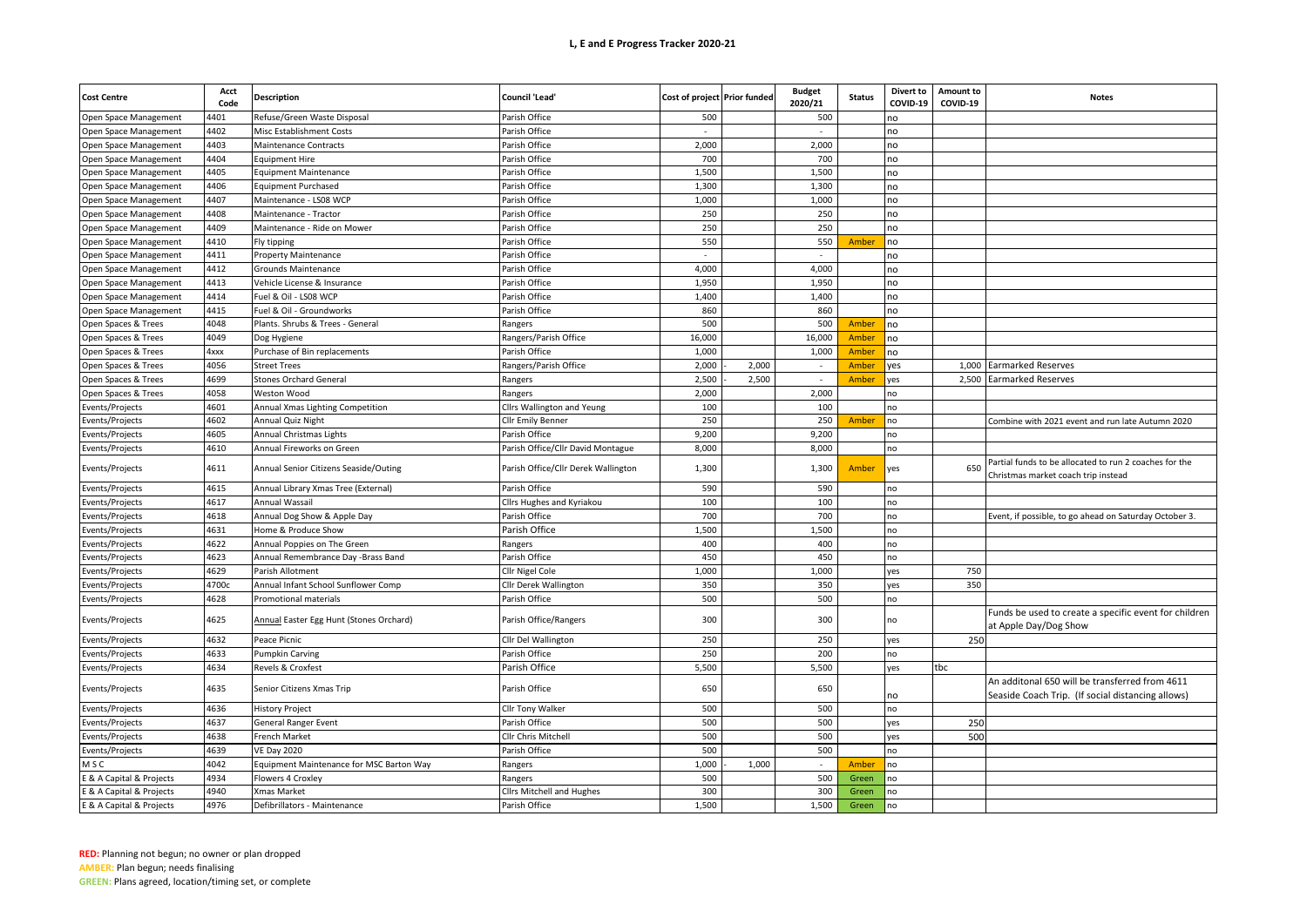## **L, E and E Progress Tracker 2020-21**

| <b>Cost Centre</b>       | Acct<br>Code | <b>Description</b>                                             | <b>Council 'Lead'</b>               | Cost of project Prior funded |       | <b>Budget</b><br>2020/21 | <b>Status</b> | <b>Divert to</b><br>COVID-19 | Amount to<br>COVID-19 | <b>Notes</b>                                                                                        |
|--------------------------|--------------|----------------------------------------------------------------|-------------------------------------|------------------------------|-------|--------------------------|---------------|------------------------------|-----------------------|-----------------------------------------------------------------------------------------------------|
| Open Space Management    | 1401         | Refuse/Green Waste Disposal                                    | Parish Office                       | 500                          |       | 500                      |               | no                           |                       |                                                                                                     |
| Open Space Management    | 1402         | Misc Establishment Costs                                       | Parish Office                       |                              |       |                          |               | no                           |                       |                                                                                                     |
| Open Space Management    | 4403         | Maintenance Contracts                                          | Parish Office                       | 2,000                        |       | 2,000                    |               | no                           |                       |                                                                                                     |
| Open Space Management    | 4404         | <b>Equipment Hire</b>                                          | Parish Office                       | 700                          |       | 700                      |               | no                           |                       |                                                                                                     |
| Open Space Management    | 4405         | <b>Equipment Maintenance</b>                                   | Parish Office                       | 1,500                        |       | 1,500                    |               | no                           |                       |                                                                                                     |
| Open Space Management    | 4406         | <b>Equipment Purchased</b>                                     | Parish Office                       | 1,300                        |       | 1,300                    |               | no                           |                       |                                                                                                     |
| Open Space Management    | 4407         | Maintenance - LS08 WCP                                         | Parish Office                       | 1,000                        |       | 1,000                    |               | no                           |                       |                                                                                                     |
| Open Space Management    | 1408         | Maintenance - Tractor                                          | Parish Office                       | 250                          |       | 250                      |               | no                           |                       |                                                                                                     |
| Open Space Management    | 4409         | Maintenance - Ride on Mower                                    | Parish Office                       | 250                          |       | 250                      |               | no                           |                       |                                                                                                     |
| Open Space Management    | 4410         | Fly tipping                                                    | Parish Office                       | 550                          |       | 550                      | Amber         | no                           |                       |                                                                                                     |
| Open Space Management    | 4411         | Property Maintenance                                           | Parish Office                       | $\sim$                       |       | $\sim$                   |               | no                           |                       |                                                                                                     |
| Open Space Management    | 4412         | Grounds Maintenance                                            | Parish Office                       | 4,000                        |       | 4,000                    |               | no                           |                       |                                                                                                     |
| Open Space Management    | 4413         | Vehicle License & Insurance                                    | Parish Office                       | 1,950                        |       | 1,950                    |               | no                           |                       |                                                                                                     |
| Open Space Management    | 1414         | Fuel & Oil - LS08 WCP                                          | Parish Office                       | 1,400                        |       | 1,400                    |               | no                           |                       |                                                                                                     |
| Open Space Management    | 4415         | Fuel & Oil - Groundworks                                       | Parish Office                       | 860                          |       | 860                      |               | no                           |                       |                                                                                                     |
| Open Spaces & Trees      | 4048         | Plants. Shrubs & Trees - General                               | Rangers                             | 500                          |       | 500                      | Amber         | no                           |                       |                                                                                                     |
| Open Spaces & Trees      | 4049         | Dog Hygiene                                                    | Rangers/Parish Office               | 16,000                       |       | 16,000                   | Amber         | no                           |                       |                                                                                                     |
| Open Spaces & Trees      | 4xxx         | Purchase of Bin replacements                                   | Parish Office                       | 1,000                        |       | 1,000                    | Amber         | no                           |                       |                                                                                                     |
| Open Spaces & Trees      | 4056         | <b>Street Trees</b>                                            | Rangers/Parish Office               | 2,000                        | 2,000 | $\overline{\phantom{a}}$ | Amber         | yes                          | 1.000                 | <b>Earmarked Reserves</b>                                                                           |
| Open Spaces & Trees      | 4699         | <b>Stones Orchard General</b>                                  | Rangers                             | 2,500                        | 2,500 |                          | Amber         | /es                          | 2,500                 | <b>Earmarked Reserves</b>                                                                           |
| Open Spaces & Trees      | 4058         | Weston Wood                                                    | Rangers                             | 2,000                        |       | 2,000                    |               | ٦O                           |                       |                                                                                                     |
| Events/Projects          | 4601         | Annual Xmas Lighting Competition                               | Cllrs Wallington and Yeung          | 100                          |       | 100                      |               | no                           |                       |                                                                                                     |
| Events/Projects          | 4602         | Annual Quiz Night                                              | Cllr Emily Benner                   | 250                          |       | 250                      | Amber         | ٦Ο                           |                       | Combine with 2021 event and run late Autumn 2020                                                    |
|                          | 1605         |                                                                |                                     | 9,200                        |       | 9,200                    |               |                              |                       |                                                                                                     |
| Events/Projects          | 4610         | Annual Christmas Lights                                        | Parish Office                       | 8,000                        |       |                          |               | ٦Ο<br>10                     |                       |                                                                                                     |
| Events/Projects          |              | Annual Fireworks on Green                                      | Parish Office/Cllr David Montague   |                              |       | 8,000                    |               |                              |                       | Partial funds to be allocated to run 2 coaches for the                                              |
| Events/Projects          | 4611         | Annual Senior Citizens Seaside/Outing                          | Parish Office/Cllr Derek Wallington | 1,300                        |       | 1,300                    | Amber         | yes                          | 650                   | Christmas market coach trip instead                                                                 |
| Events/Projects          | 4615         | Annual Library Xmas Tree (External)                            | Parish Office                       | 590                          |       | 590                      |               | no                           |                       |                                                                                                     |
| Events/Projects          | 4617         | Annual Wassail                                                 | Cllrs Hughes and Kyriakou           | 100                          |       | 100                      |               | no                           |                       |                                                                                                     |
| Events/Projects          | 4618         | Annual Dog Show & Apple Day                                    | Parish Office                       | 700                          |       | 700                      |               | ٦Ο                           |                       | Event, if possible, to go ahead on Saturday October 3                                               |
| Events/Projects          | 4631         | Home & Produce Show                                            | Parish Office                       | 1,500                        |       | 1,500                    |               | no                           |                       |                                                                                                     |
| Events/Projects          | 4622         | Annual Poppies on The Green                                    | Rangers                             | 400                          |       | 400                      |               | no                           |                       |                                                                                                     |
| Events/Projects          | 4623         | Annual Remembrance Day -Brass Band                             | Parish Office                       | 450                          |       | 450                      |               | no                           |                       |                                                                                                     |
| Events/Projects          | 4629         | Parish Allotment                                               | Cllr Nigel Cole                     | 1,000                        |       | 1,000                    |               | yes                          | 750                   |                                                                                                     |
| Events/Projects          | 1700c        | Annual Infant School Sunflower Comp                            | Cllr Derek Wallington               | 350                          |       | 350                      |               | /es                          | 350                   |                                                                                                     |
| Events/Projects          | 4628         | Promotional materials                                          | Parish Office                       | 500                          |       | 500                      |               | no                           |                       |                                                                                                     |
| Events/Projects          | 4625         | Annual Easter Egg Hunt (Stones Orchard)                        | Parish Office/Rangers               | 300                          |       | 300                      |               | no                           |                       | Funds be used to create a specific event for children<br>at Apple Day/Dog Show                      |
| Events/Projects          | 4632         | Peace Picnic                                                   | Cllr Del Wallington                 | 250                          |       | 250                      |               | yes                          | 250                   |                                                                                                     |
| Events/Projects          | 4633         | <b>Pumpkin Carving</b>                                         | Parish Office                       | 250                          |       | 200                      |               | no                           |                       |                                                                                                     |
| Events/Projects          | 4634         | Revels & Croxfest                                              | Parish Office                       | 5,500                        |       | 5,500                    |               | /es                          | tbc                   |                                                                                                     |
| Events/Projects          | 4635         | Senior Citizens Xmas Trip                                      | Parish Office                       | 650                          |       | 650                      |               | no                           |                       | An additonal 650 will be transferred from 4611<br>Seaside Coach Trip. (If social distancing allows) |
| Events/Projects          | 4636         | History Project                                                | <b>Cllr Tony Walker</b>             | 500                          |       | 500                      |               | no                           |                       |                                                                                                     |
| Events/Projects          | 4637         | <b>General Ranger Event</b>                                    | Parish Office                       | 500                          |       | 500                      |               | yes                          | 250                   |                                                                                                     |
| Events/Projects          | 4638         | French Market                                                  | Cllr Chris Mitchell                 | 500                          |       | 500                      |               | yes                          | 500                   |                                                                                                     |
|                          | 4639         |                                                                |                                     | 500                          |       | 500                      |               | 10                           |                       |                                                                                                     |
| Events/Projects<br>M S C | 4042         | <b>VE Day 2020</b><br>Equipment Maintenance for MSC Barton Way | Parish Office                       | 1,000                        | 1,000 |                          | Amber         | no                           |                       |                                                                                                     |
|                          |              |                                                                | Rangers                             |                              |       |                          |               |                              |                       |                                                                                                     |
| E & A Capital & Projects | 4934         | Flowers 4 Croxley                                              | Rangers                             | 500                          |       | 500                      | Green         | no                           |                       |                                                                                                     |
| E & A Capital & Projects | 4940         | Xmas Market                                                    | <b>Clirs Mitchell and Hughes</b>    | 300                          |       | 300                      | Green         | 10                           |                       |                                                                                                     |
| E & A Capital & Projects | 4976         | Defibrillators - Maintenance                                   | Parish Office                       | 1,500                        |       | 1,500                    | Green         | 10                           |                       |                                                                                                     |